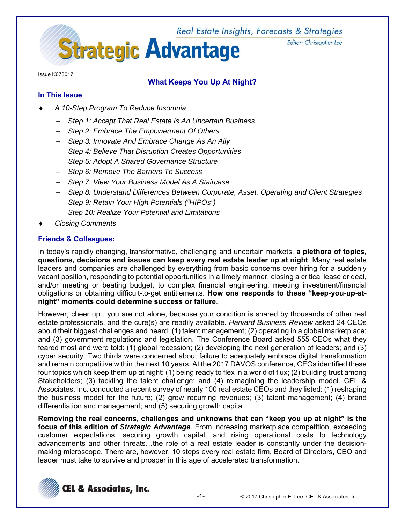

Editor: Christopher Lee

Issue K073017

# **What Keeps You Up At Night?**

## **In This Issue**

- *A 10-Step Program To Reduce Insomnia* 
	- *Step 1: Accept That Real Estate Is An Uncertain Business*
	- *Step 2: Embrace The Empowerment Of Others*
	- *Step 3: Innovate And Embrace Change As An Ally*
	- *Step 4: Believe That Disruption Creates Opportunities*
	- *Step 5: Adopt A Shared Governance Structure*
	- *Step 6: Remove The Barriers To Success*
	- *Step 7: View Your Business Model As A Staircase*
	- *Step 8: Understand Differences Between Corporate, Asset, Operating and Client Strategies*
	- *Step 9: Retain Your High Potentials ("HIPOs")*
	- *Step 10: Realize Your Potential and Limitations*
- *Closing Comments*

## **Friends & Colleagues:**

In today's rapidly changing, transformative, challenging and uncertain markets, **a plethora of topics, questions, decisions and issues can keep every real estate leader up at night**. Many real estate leaders and companies are challenged by everything from basic concerns over hiring for a suddenly vacant position, responding to potential opportunities in a timely manner, closing a critical lease or deal, and/or meeting or beating budget, to complex financial engineering, meeting investment/financial obligations or obtaining difficult-to-get entitlements. **How one responds to these "keep-you-up-atnight" moments could determine success or failure**.

However, cheer up…you are not alone, because your condition is shared by thousands of other real estate professionals, and the cure(s) are readily available. *Harvard Business Review* asked 24 CEOs about their biggest challenges and heard: (1) talent management; (2) operating in a global marketplace; and (3) government regulations and legislation. The Conference Board asked 555 CEOs what they feared most and were told: (1) global recession; (2) developing the next generation of leaders; and (3) cyber security. Two thirds were concerned about failure to adequately embrace digital transformation and remain competitive within the next 10 years. At the 2017 DAVOS conference, CEOs identified these four topics which keep them up at night: (1) being ready to flex in a world of flux; (2) building trust among Stakeholders; (3) tackling the talent challenge; and (4) reimagining the leadership model. CEL & Associates, Inc. conducted a recent survey of nearly 100 real estate CEOs and they listed: (1) reshaping the business model for the future; (2) grow recurring revenues; (3) talent management; (4) brand differentiation and management; and (5) securing growth capital.

**Removing the real concerns, challenges and unknowns that can "keep you up at night" is the focus of this edition of** *Strategic Advantage*. From increasing marketplace competition, exceeding customer expectations, securing growth capital, and rising operational costs to technology advancements and other threats…the role of a real estate leader is constantly under the decisionmaking microscope. There are, however, 10 steps every real estate firm, Board of Directors, CEO and leader must take to survive and prosper in this age of accelerated transformation.

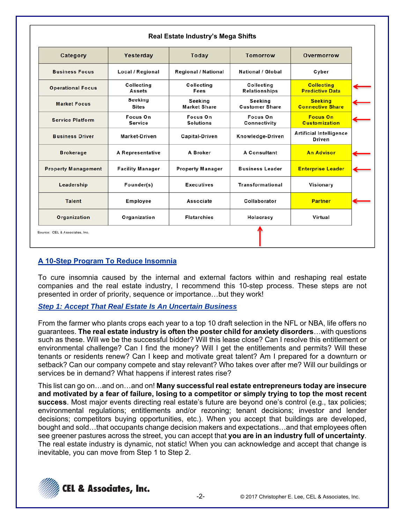| Category                   | Yesterday                          | Today                          | <b>Tomorrow</b>                         | Overmorrow                                  |
|----------------------------|------------------------------------|--------------------------------|-----------------------------------------|---------------------------------------------|
| <b>Business Focus</b>      | <b>Local / Regional</b>            | <b>Regional / National</b>     | <b>National / Global</b>                | Cyber                                       |
| <b>Operational Focus</b>   | <b>Collecting</b><br><b>Assets</b> | Collecting<br>Fees             | Collecting<br><b>Relationships</b>      | <b>Collecting</b><br><b>Predictive Data</b> |
| <b>Market Focus</b>        | <b>Seeking</b><br><b>Sites</b>     | Seeking<br><b>Market Share</b> | <b>Seeking</b><br><b>Customer Share</b> | <b>Seeking</b><br><b>Connective Share</b>   |
| <b>Service Platform</b>    | Focus On<br><b>Service</b>         | Focus On<br><b>Solutions</b>   | Focus On<br>Connectivity                | <b>Focus On</b><br><b>Customization</b>     |
| <b>Business Driver</b>     | Market-Driven                      | <b>Capital-Driven</b>          | Knowledge-Driven                        | <b>Artificial Intelligence</b><br>Driven    |
| <b>Brokerage</b>           | A Representative                   | A Broker                       | A Consultant                            | <b>An Advisor</b>                           |
| <b>Property Management</b> | <b>Facility Manager</b>            | <b>Property Manager</b>        | <b>Business Leader</b>                  | <b>Enterprise Leader</b>                    |
| Leadership                 | Founder(s)                         | <b>Executives</b>              | Transformational                        | Visionary                                   |
| <b>Talent</b>              | Employee                           | Associate                      | Collaborator                            | <b>Partner</b>                              |
| <b>Organization</b>        | Organization                       | <b>Flatarchies</b>             | Holacracy                               | Virtual                                     |

## **A 10-Step Program To Reduce Insomnia**

To cure insomnia caused by the internal and external factors within and reshaping real estate companies and the real estate industry, I recommend this 10-step process. These steps are not presented in order of priority, sequence or importance…but they work!

*Step 1: Accept That Real Estate Is An Uncertain Business* 

From the farmer who plants crops each year to a top 10 draft selection in the NFL or NBA, life offers no guarantees. **The real estate industry is often the poster child for anxiety disorders**…with questions such as these. Will we be the successful bidder? Will this lease close? Can I resolve this entitlement or environmental challenge? Can I find the money? Will I get the entitlements and permits? Will these tenants or residents renew? Can I keep and motivate great talent? Am I prepared for a downturn or setback? Can our company compete and stay relevant? Who takes over after me? Will our buildings or services be in demand? What happens if interest rates rise?

This list can go on…and on…and on! **Many successful real estate entrepreneurs today are insecure and motivated by a fear of failure, losing to a competitor or simply trying to top the most recent success**. Most major events directing real estate's future are beyond one's control (e.g., tax policies; environmental regulations; entitlements and/or rezoning; tenant decisions; investor and lender decisions; competitors buying opportunities, etc.). When you accept that buildings are developed, bought and sold…that occupants change decision makers and expectations…and that employees often see greener pastures across the street, you can accept that **you are in an industry full of uncertainty**. The real estate industry is dynamic, not static! When you can acknowledge and accept that change is inevitable, you can move from Step 1 to Step 2.

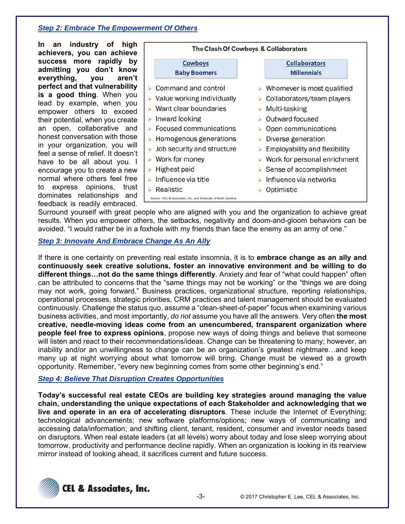## *Step 2: Embrace The Empowerment Of Others*

**In an industry of high achievers, you can achieve success more rapidly by admitting you don't know everything, you aren't perfect and that vulnerability is a good thing**. When you lead by example, when you empower others to exceed their potential, when you create an open, collaborative and honest conversation with those in your organization, you will feel a sense of relief. It doesn't have to be all about you. I encourage you to create a new normal where others feel free to express opinions, trust dominates relationships and feedback is readily embraced.



Surround yourself with great people who are aligned with you and the organization to achieve great results. When you empower others, the setbacks, negativity and doom-and-gloom behaviors can be avoided. "I would rather be in a foxhole with my friends than face the enemy as an army of one."

#### *Step 3: Innovate And Embrace Change As An Ally*

If there is one certainty on preventing real estate insomnia, it is to **embrace change as an ally and continuously seek creative solutions, foster an innovative environment and be willing to do different things…not do the same things differently**. Anxiety and fear of "what could happen" often can be attributed to concerns that the "same things may not be working" or the "things we are doing may not work, going forward." Business practices, organizational structure, reporting relationships, operational processes, strategic priorities, CRM practices and talent management should be evaluated continuously. Challenge the status quo, assume a "clean-sheet-of-paper" focus when examining various business activities, and most importantly, *do not* assume you have all the answers. Very often **the most creative, needle-moving ideas come from an unencumbered, transparent organization where people feel free to express opinions**, propose new ways of doing things and believe that someone will listen and react to their recommendations/ideas. Change can be threatening to many; however, an inability and/or an unwillingness to change can be an organization's greatest nightmare…and keep many up at night worrying about what tomorrow will bring. Change must be viewed as a growth opportunity. Remember, "every new beginning comes from some other beginning's end."

## *Step 4: Believe That Disruption Creates Opportunities*

**Today's successful real estate CEOs are building key strategies around managing the value chain, understanding the unique expectations of each Stakeholder and acknowledging that we live and operate in an era of accelerating disruptors**. These include the Internet of Everything; technological advancements; new software platforms/options; new ways of communicating and accessing data/information; and shifting client, tenant, resident, consumer and investor needs based on disruptors. When real estate leaders (at all levels) worry about today and lose sleep worrying about tomorrow, productivity and performance decline rapidly. When an organization is looking in its rearview mirror instead of looking ahead, it sacrifices current and future success.

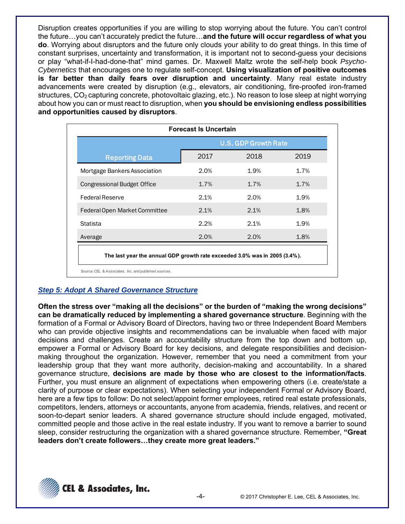Disruption creates opportunities if you are willing to stop worrying about the future. You can't control the future…you can't accurately predict the future…**and the future will occur regardless of what you do**. Worrying about disruptors and the future only clouds your ability to do great things. In this time of constant surprises, uncertainty and transformation, it is important not to second-guess your decisions or play "what-if-I-had-done-that" mind games. Dr. Maxwell Maltz wrote the self-help book *Psycho-Cybernetics* that encourages one to regulate self-concept. **Using visualization of positive outcomes is far better than daily fears over disruption and uncertainty**. Many real estate industry advancements were created by disruption (e.g., elevators, air conditioning, fire-proofed iron-framed structures, CO<sub>2</sub> capturing concrete, photovoltaic glazing, etc.). No reason to lose sleep at night worrying about how you can or must react to disruption, when **you should be envisioning endless possibilities and opportunities caused by disruptors**.

|                                                                            | <b>Forecast Is Uncertain</b> |      |      |
|----------------------------------------------------------------------------|------------------------------|------|------|
|                                                                            | <b>U.S. GDP Growth Rate</b>  |      |      |
| <b>Reporting Data</b>                                                      | 2017                         | 2018 | 2019 |
| Mortgage Bankers Association                                               | 2.0%                         | 1.9% | 1.7% |
| <b>Congressional Budget Office</b>                                         | 1.7%                         | 1.7% | 1.7% |
| <b>Federal Reserve</b>                                                     | 2.1%                         | 2.0% | 1.9% |
| Federal Open Market Committee                                              | 2.1%                         | 2.1% | 1.8% |
| Statista                                                                   | 2.2%                         | 2.1% | 1.9% |
| Average                                                                    | 2.0%                         | 2.0% | 1.8% |
| The last year the annual GDP growth rate exceeded 3.0% was in 2005 (3.4%). |                              |      |      |
| Source: CEL & Associates, Inc. and published sources.                      |                              |      |      |

## *Step 5: Adopt A Shared Governance Structure*

**Often the stress over "making all the decisions" or the burden of "making the wrong decisions" can be dramatically reduced by implementing a shared governance structure**. Beginning with the formation of a Formal or Advisory Board of Directors, having two or three Independent Board Members who can provide objective insights and recommendations can be invaluable when faced with major decisions and challenges. Create an accountability structure from the top down and bottom up, empower a Formal or Advisory Board for key decisions, and delegate responsibilities and decisionmaking throughout the organization. However, remember that you need a commitment from your leadership group that they want more authority, decision-making and accountability. In a shared governance structure, **decisions are made by those who are closest to the information/facts**. Further, you must ensure an alignment of expectations when empowering others (i.e. create/state a clarity of purpose or clear expectations). When selecting your independent Formal or Advisory Board, here are a few tips to follow: Do not select/appoint former employees, retired real estate professionals, competitors, lenders, attorneys or accountants, anyone from academia, friends, relatives, and recent or soon-to-depart senior leaders. A shared governance structure should include engaged, motivated, committed people and those active in the real estate industry. If you want to remove a barrier to sound sleep, consider restructuring the organization with a shared governance structure. Remember, **"Great leaders don't create followers…they create more great leaders."**

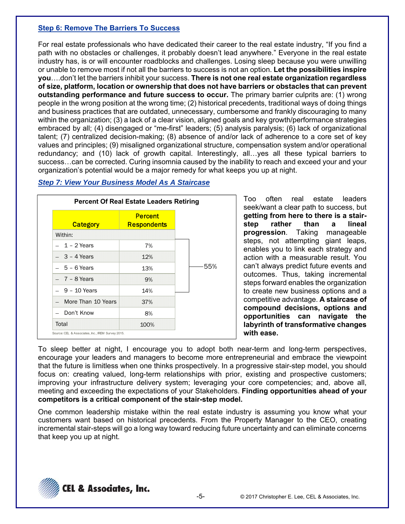#### **Step 6: Remove The Barriers To Success**

For real estate professionals who have dedicated their career to the real estate industry, "If you find a path with no obstacles or challenges, it probably doesn't lead anywhere." Everyone in the real estate industry has, is or will encounter roadblocks and challenges. Losing sleep because you were unwilling or unable to remove most if not all the barriers to success is not an option. **Let the possibilities inspire you**….don't let the barriers inhibit your success. **There is not one real estate organization regardless of size, platform, location or ownership that does not have barriers or obstacles that can prevent outstanding performance and future success to occur.** The primary barrier culprits are: (1) wrong people in the wrong position at the wrong time; (2) historical precedents, traditional ways of doing things and business practices that are outdated, unnecessary, cumbersome and frankly discouraging to many within the organization; (3) a lack of a clear vision, aligned goals and key growth/performance strategies embraced by all; (4) disengaged or "me-first" leaders; (5) analysis paralysis; (6) lack of organizational talent; (7) centralized decision-making; (8) absence of and/or lack of adherence to a core set of key values and principles; (9) misaligned organizational structure, compensation system and/or operational redundancy; and (10) lack of growth capital. Interestingly, all…yes all these typical barriers to success…can be corrected. Curing insomnia caused by the inability to reach and exceed your and your organization's potential would be a major remedy for what keeps you up at night.

| <b>Category</b>    | <b>Percent</b><br><b>Respondents</b> |     |
|--------------------|--------------------------------------|-----|
| Within:            |                                      |     |
| $-1-2$ Years       | 7%                                   |     |
| $-3 - 4$ Years     | 12%                                  |     |
| $-5 - 6$ Years     | 13%                                  | 55% |
| $-7 - 8$ Years     | 9%                                   |     |
| $-9 - 10$ Years    | 14%                                  |     |
| More Than 10 Years | 37%                                  |     |
| Don't Know         | 8%                                   |     |
| Total              | 100%                                 |     |

## *Step 7: View Your Business Model As A Staircase*

Too often real estate leaders seek/want a clear path to success, but **getting from here to there is a stairstep rather than a lineal progression**. Taking manageable steps, not attempting giant leaps, enables you to link each strategy and action with a measurable result. You can't always predict future events and outcomes. Thus, taking incremental steps forward enables the organization to create new business options and a competitive advantage. **A staircase of compound decisions, options and opportunities can navigate the labyrinth of transformative changes with ease.**

To sleep better at night, I encourage you to adopt both near-term and long-term perspectives, encourage your leaders and managers to become more entrepreneurial and embrace the viewpoint that the future is limitless when one thinks prospectively. In a progressive stair-step model, you should focus on: creating valued, long-term relationships with prior, existing and prospective customers; improving your infrastructure delivery system; leveraging your core competencies; and, above all, meeting and exceeding the expectations of your Stakeholders. **Finding opportunities ahead of your competitors is a critical component of the stair-step model.**

One common leadership mistake within the real estate industry is assuming you know what your customers want based on historical precedents. From the Property Manager to the CEO, creating incremental stair-steps will go a long way toward reducing future uncertainty and can eliminate concerns that keep you up at night.

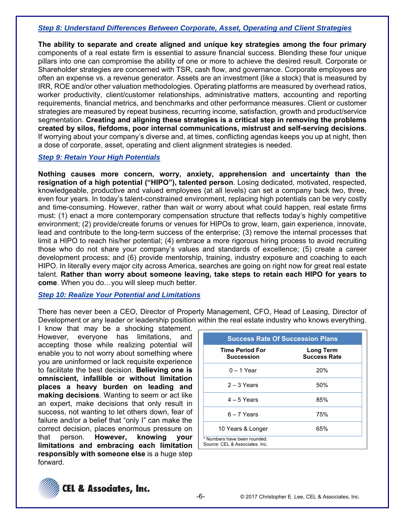#### *Step 8: Understand Differences Between Corporate, Asset, Operating and Client Strategies*

**The ability to separate and create aligned and unique key strategies among the four primary** components of a real estate firm is essential to assure financial success. Blending these four unique pillars into one can compromise the ability of one or more to achieve the desired result. Corporate or Shareholder strategies are concerned with TSR, cash flow, and governance. Corporate employees are often an expense vs. a revenue generator. Assets are an investment (like a stock) that is measured by IRR, ROE and/or other valuation methodologies. Operating platforms are measured by overhead ratios, worker productivity, client/customer relationships, administrative matters, accounting and reporting requirements, financial metrics, and benchmarks and other performance measures. Client or customer strategies are measured by repeat business, recurring income, satisfaction, growth and product/service segmentation. **Creating and aligning these strategies is a critical step in removing the problems created by silos, fiefdoms, poor internal communications, mistrust and self-serving decisions**. If worrying about your company's diverse and, at times, conflicting agendas keeps you up at night, then a dose of corporate, asset, operating and client alignment strategies is needed.

#### *Step 9: Retain Your High Potentials*

**Nothing causes more concern, worry, anxiety, apprehension and uncertainty than the resignation of a high potential ("HIPO"), talented person**. Losing dedicated, motivated, respected, knowledgeable, productive and valued employees (at all levels) can set a company back two, three, even four years. In today's talent-constrained environment, replacing high potentials can be very costly and time-consuming. However, rather than wait or worry about what could happen, real estate firms must: (1) enact a more contemporary compensation structure that reflects today's highly competitive environment; (2) provide/create forums or venues for HIPOs to grow, learn, gain experience, innovate, lead and contribute to the long-term success of the enterprise; (3) remove the internal processes that limit a HIPO to reach his/her potential; (4) embrace a more rigorous hiring process to avoid recruiting those who do not share your company's values and standards of excellence; (5) create a career development process; and (6) provide mentorship, training, industry exposure and coaching to each HIPO. In literally every major city across America, searches are going on right now for great real estate talent. **Rather than worry about someone leaving, take steps to retain each HIPO for years to come**. When you do…you will sleep much better.

#### *Step 10: Realize Your Potential and Limitations*

There has never been a CEO, Director of Property Management, CFO, Head of Leasing, Director of Development or any leader or leadership position within the real estate industry who knows everything.

I know that may be a shocking statement. However, everyone has limitations, and accepting those while realizing potential will enable you to not worry about something where you are uninformed or lack requisite experience to facilitate the best decision. **Believing one is omniscient, infallible or without limitation places a heavy burden on leading and making decisions**. Wanting to seem or act like an expert, make decisions that only result in success, not wanting to let others down, fear of failure and/or a belief that "only I" can make the correct decision, places enormous pressure on that person. **However, knowing your limitations and embracing each limitation responsibly with someone else** is a huge step forward.

| <b>Success Rate Of Succession Plans</b>                        |                                  |  |  |  |
|----------------------------------------------------------------|----------------------------------|--|--|--|
| <b>Time Period For</b><br><b>Succession</b>                    | Long Term<br><b>Success Rate</b> |  |  |  |
| $0 - 1$ Year                                                   | 20%                              |  |  |  |
| $2 - 3$ Years                                                  | 50%                              |  |  |  |
| $4 - 5$ Years                                                  | 85%                              |  |  |  |
| $6 - 7$ Years                                                  | 75%                              |  |  |  |
| 10 Years & Longer                                              | 65%                              |  |  |  |
| * Numbers have been rounded.<br>Source: CEL & Associates. Inc. |                                  |  |  |  |

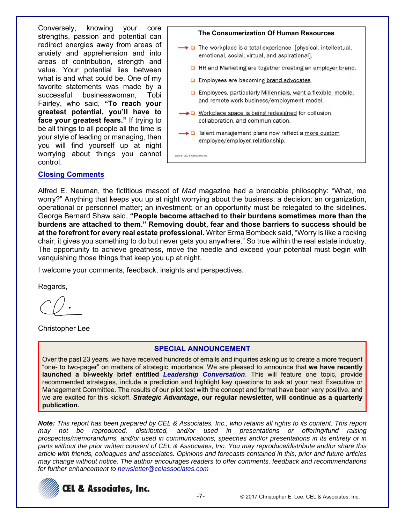Conversely, knowing your core strengths, passion and potential can redirect energies away from areas of anxiety and apprehension and into areas of contribution, strength and value. Your potential lies between what is and what could be. One of my favorite statements was made by a successful businesswoman, Tobi Fairley, who said, **"To reach your greatest potential, you'll have to face your greatest fears."** If trying to be all things to all people all the time is your style of leading or managing, then you will find yourself up at night worrying about things you cannot control.

**The Consumerization Of Human Resources** The workplace is a total experience [physical, intellectual, emotional, social, virtual, and aspirational]. **D** HR and Marketing are together creating an employer brand. **D** Employees are becoming brand advocates. **D** Employees, particularly Millennials, want a flexible, mobile, and remote work business/employment model. → D Workplace space is being redesigned for collusion, collaboration, and communication. Talent management plans now reflect a more custom employee/employer relationship. Source: CEL & Associates, Inc.

#### **Closing Comments**

Alfred E. Neuman, the fictitious mascot of *Mad* magazine had a brandable philosophy: "What, me worry?" Anything that keeps you up at night worrying about the business; a decision; an organization, operational or personnel matter; an investment; or an opportunity must be relegated to the sidelines. George Bernard Shaw said, **"People become attached to their burdens sometimes more than the burdens are attached to them." Removing doubt, fear and those barriers to success should be at the forefront for every real estate professional.** Writer Erma Bombeck said, "Worry is like a rocking chair; it gives you something to do but never gets you anywhere." So true within the real estate industry. The opportunity to achieve greatness, move the needle and exceed your potential must begin with vanquishing those things that keep you up at night.

I welcome your comments, feedback, insights and perspectives.

Regards,

Christopher Lee

#### **SPECIAL ANNOUNCEMENT**

Over the past 23 years, we have received hundreds of emails and inquiries asking us to create a more frequent "one- to two-pager" on matters of strategic importance. We are pleased to announce that **we have recently launched a bi-weekly brief entitled** *Leadership Conversation*. This will feature one topic, provide recommended strategies, include a prediction and highlight key questions to ask at your next Executive or Management Committee. The results of our pilot test with the concept and format have been very positive, and we are excited for this kickoff. *Strategic Advantage***, our regular newsletter, will continue as a quarterly publication.**

*Note: This report has been prepared by CEL & Associates, Inc., who retains all rights to its content. This report may not be reproduced, distributed, and/or used in presentations or offering/fund raising prospectus/memorandums, and/or used in communications, speeches and/or presentations in its entirety or in parts without the prior written consent of CEL & Associates, Inc. You may reproduce/distribute and/or share this article with friends, colleagues and associates. Opinions and forecasts contained in this, prior and future articles may change without notice. The author encourages readers to offer comments, feedback and recommendations for further enhancement to newsletter@celassociates.com*

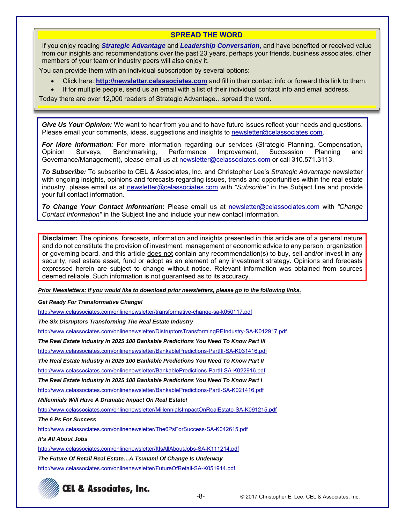**SPREAD THE WORD** 

If you enjoy reading *Strategic Advantage* and *Leadership Conversation*, and have benefited or received value from our insights and recommendations over the past 23 years, perhaps your friends, business associates, other members of your team or industry peers will also enjoy it.

You can provide them with an individual subscription by several options:

- Click here: **http://newsletter.celassociates.com** and fill in their contact info or forward this link to them.
- If for multiple people, send us an email with a list of their individual contact info and email address.

Today there are over 12,000 readers of Strategic Advantage…spread the word.

*Give Us Your Opinion:* We want to hear from you and to have future issues reflect your needs and questions. Please email your comments, ideas, suggestions and insights to newsletter@celassociates.com.

*For More Information:* For more information regarding our services (Strategic Planning, Compensation, Opinion Surveys, Benchmarking, Performance Improvement, Succession Planning and Governance/Management), please email us at newsletter@celassociates.com or call 310.571.3113.

*To Subscribe:* To subscribe to CEL & Associates, Inc. and Christopher Lee's *Strategic Advantage* newsletter with ongoing insights, opinions and forecasts regarding issues, trends and opportunities within the real estate industry, please email us at newsletter@celassociates.com with *"Subscribe"* in the Subject line and provide your full contact information.

*To Change Your Contact Information***:** Please email us at newsletter@celassociates.com with *"Change Contact Information"* in the Subject line and include your new contact information.

**Disclaimer:** The opinions, forecasts, information and insights presented in this article are of a general nature and do not constitute the provision of investment, management or economic advice to any person, organization or governing board, and this article does not contain any recommendation(s) to buy, sell and/or invest in any security, real estate asset, fund or adopt as an element of any investment strategy. Opinions and forecasts expressed herein are subject to change without notice. Relevant information was obtained from sources deemed reliable. Such information is not guaranteed as to its accuracy.

*Prior Newsletters: If you would like to download prior newsletters, please go to the following links.* 

*Get Ready For Transformative Change!* 

http://www.celassociates.com/onlinenewsletter/transformative-change-sa-k050117.pdf

*The Six Disruptors Transforming The Real Estate Industry* 

http://www.celassociates.com/onlinenewsletter/DistruptorsTransformingREIndustry-SA-K012917.pdf

*The Real Estate Industry In 2025 100 Bankable Predictions You Need To Know Part III* 

http://www.celassociates.com/onlinenewsletter/BankablePredictions-PartIII-SA-K031416.pdf

*The Real Estate Industry In 2025 100 Bankable Predictions You Need To Know Part II* 

http://www.celassociates.com/onlinenewsletter/BankablePredictions-PartII-SA-K022916.pdf

*The Real Estate Industry In 2025 100 Bankable Predictions You Need To Know Part I* 

http://www.celassociates.com/onlinenewsletter/BankablePredictions-PartI-SA-K021416.pdf

*Millennials Will Have A Dramatic Impact On Real Estate!* 

http://www.celassociates.com/onlinenewsletter/MillennialsImpactOnRealEstate-SA-K091215.pdf

*The 6 Ps For Success* 

http://www.celassociates.com/onlinenewsletter/The6PsForSuccess-SA-K042615.pdf

*It's All About Jobs* 

http://www.celassociates.com/onlinenewsletter/ItIsAllAboutJobs-SA-K111214.pdf

*The Future Of Retail Real Estate…A Tsunami Of Change Is Underway*

http://www.celassociates.com/onlinenewsletter/FutureOfRetail-SA-K051914.pdf